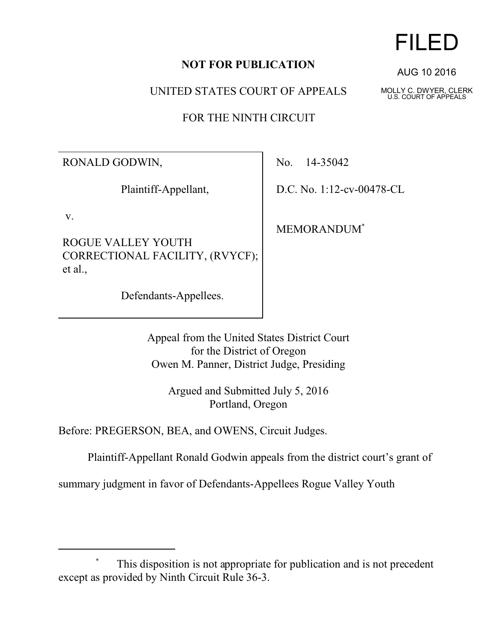### **NOT FOR PUBLICATION**

UNITED STATES COURT OF APPEALS

FOR THE NINTH CIRCUIT

RONALD GODWIN,

Plaintiff-Appellant,

v.

ROGUE VALLEY YOUTH CORRECTIONAL FACILITY, (RVYCF); et al.,

Defendants-Appellees.

No. 14-35042

D.C. No. 1:12-cv-00478-CL

MEMORANDUM\*

Appeal from the United States District Court for the District of Oregon Owen M. Panner, District Judge, Presiding

> Argued and Submitted July 5, 2016 Portland, Oregon

Before: PREGERSON, BEA, and OWENS, Circuit Judges.

Plaintiff-Appellant Ronald Godwin appeals from the district court's grant of

summary judgment in favor of Defendants-Appellees Rogue Valley Youth

This disposition is not appropriate for publication and is not precedent except as provided by Ninth Circuit Rule 36-3.

# FILED

AUG 10 2016

MOLLY C. DWYER, CLERK U.S. COURT OF APPEALS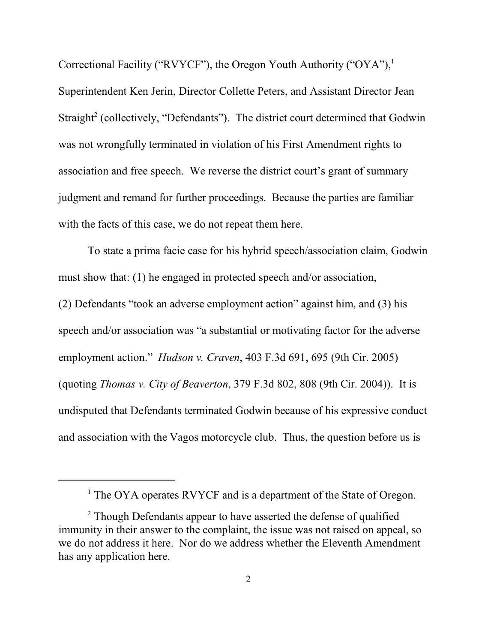Correctional Facility ("RVYCF"), the Oregon Youth Authority ("OYA"),<sup>1</sup> Superintendent Ken Jerin, Director Collette Peters, and Assistant Director Jean Straight<sup>2</sup> (collectively, "Defendants"). The district court determined that Godwin was not wrongfully terminated in violation of his First Amendment rights to association and free speech. We reverse the district court's grant of summary judgment and remand for further proceedings. Because the parties are familiar with the facts of this case, we do not repeat them here.

To state a prima facie case for his hybrid speech/association claim, Godwin must show that: (1) he engaged in protected speech and/or association, (2) Defendants "took an adverse employment action" against him, and (3) his speech and/or association was "a substantial or motivating factor for the adverse employment action." *Hudson v. Craven*, 403 F.3d 691, 695 (9th Cir. 2005) (quoting *Thomas v. City of Beaverton*, 379 F.3d 802, 808 (9th Cir. 2004)). It is undisputed that Defendants terminated Godwin because of his expressive conduct and association with the Vagos motorcycle club.Thus, the question before us is

<sup>&</sup>lt;sup>1</sup> The OYA operates RVYCF and is a department of the State of Oregon.

<sup>&</sup>lt;sup>2</sup> Though Defendants appear to have asserted the defense of qualified immunity in their answer to the complaint, the issue was not raised on appeal, so we do not address it here. Nor do we address whether the Eleventh Amendment has any application here.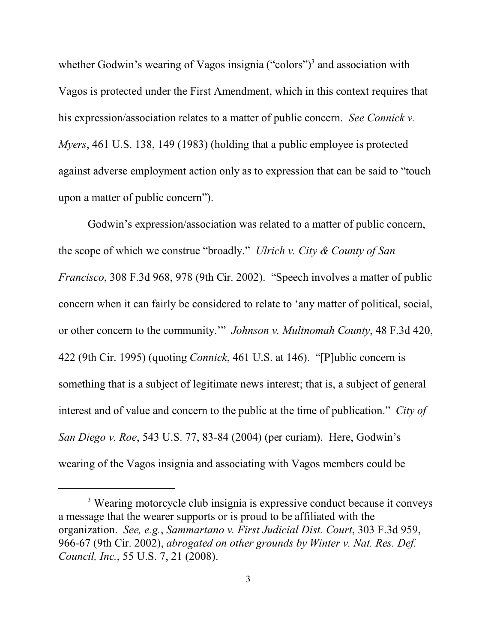whether Godwin's wearing of Vagos insignia ("colors")<sup>3</sup> and association with Vagos is protected under the First Amendment, which in this context requires that his expression/association relates to a matter of public concern. *See Connick v. Myers*, 461 U.S. 138, 149 (1983) (holding that a public employee is protected against adverse employment action only as to expression that can be said to "touch upon a matter of public concern").

Godwin's expression/association was related to a matter of public concern, the scope of which we construe "broadly." *Ulrich v. City & County of San Francisco*, 308 F.3d 968, 978 (9th Cir. 2002). "Speech involves a matter of public concern when it can fairly be considered to relate to 'any matter of political, social, or other concern to the community.'" *Johnson v. Multnomah County*, 48 F.3d 420, 422 (9th Cir. 1995) (quoting *Connick*, 461 U.S. at 146). "[P]ublic concern is something that is a subject of legitimate news interest; that is, a subject of general interest and of value and concern to the public at the time of publication." *City of San Diego v. Roe*, 543 U.S. 77, 83-84 (2004) (per curiam). Here, Godwin's wearing of the Vagos insignia and associating with Vagos members could be

<sup>&</sup>lt;sup>3</sup> Wearing motorcycle club insignia is expressive conduct because it conveys a message that the wearer supports or is proud to be affiliated with the organization. *See, e.g.*, *Sammartano v. First Judicial Dist. Court*, 303 F.3d 959, 966-67 (9th Cir. 2002), *abrogated on other grounds by Winter v. Nat. Res. Def. Council, Inc.*, 55 U.S. 7, 21 (2008).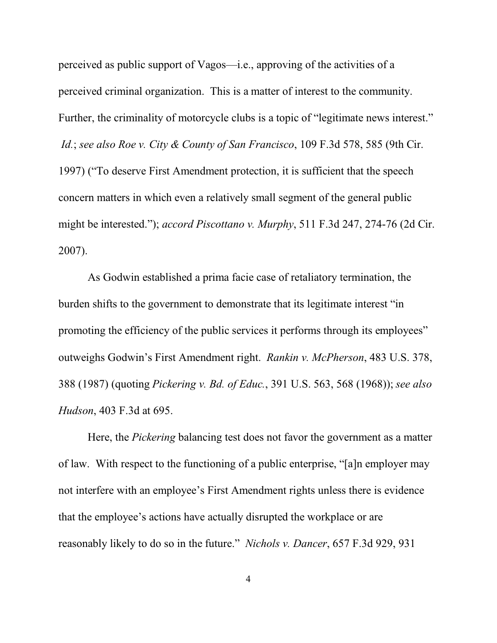perceived as public support of Vagos—i.e., approving of the activities of a perceived criminal organization. This is a matter of interest to the community. Further, the criminality of motorcycle clubs is a topic of "legitimate news interest."  *Id.*; *see also Roe v. City & County of San Francisco*, 109 F.3d 578, 585 (9th Cir. 1997) ("To deserve First Amendment protection, it is sufficient that the speech concern matters in which even a relatively small segment of the general public might be interested."); *accord Piscottano v. Murphy*, 511 F.3d 247, 274-76 (2d Cir. 2007).

As Godwin established a prima facie case of retaliatory termination, the burden shifts to the government to demonstrate that its legitimate interest "in promoting the efficiency of the public services it performs through its employees" outweighs Godwin's First Amendment right. *Rankin v. McPherson*, 483 U.S. 378, 388 (1987) (quoting *Pickering v. Bd. of Educ.*, 391 U.S. 563, 568 (1968)); *see also Hudson*, 403 F.3d at 695.

Here, the *Pickering* balancing test does not favor the government as a matter of law. With respect to the functioning of a public enterprise, "[a]n employer may not interfere with an employee's First Amendment rights unless there is evidence that the employee's actions have actually disrupted the workplace or are reasonably likely to do so in the future." *Nichols v. Dancer*, 657 F.3d 929, 931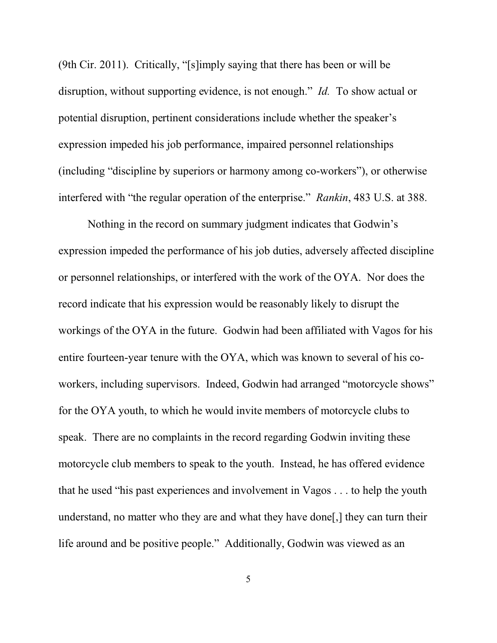(9th Cir. 2011). Critically, "[s]imply saying that there has been or will be disruption, without supporting evidence, is not enough." *Id.* To show actual or potential disruption, pertinent considerations include whether the speaker's expression impeded his job performance, impaired personnel relationships (including "discipline by superiors or harmony among co-workers"), or otherwise interfered with "the regular operation of the enterprise." *Rankin*, 483 U.S. at 388.

Nothing in the record on summary judgment indicates that Godwin's expression impeded the performance of his job duties, adversely affected discipline or personnel relationships, or interfered with the work of the OYA. Nor does the record indicate that his expression would be reasonably likely to disrupt the workings of the OYA in the future. Godwin had been affiliated with Vagos for his entire fourteen-year tenure with the OYA, which was known to several of his coworkers, including supervisors. Indeed, Godwin had arranged "motorcycle shows" for the OYA youth, to which he would invite members of motorcycle clubs to speak. There are no complaints in the record regarding Godwin inviting these motorcycle club members to speak to the youth. Instead, he has offered evidence that he used "his past experiences and involvement in Vagos . . . to help the youth understand, no matter who they are and what they have done[,] they can turn their life around and be positive people." Additionally, Godwin was viewed as an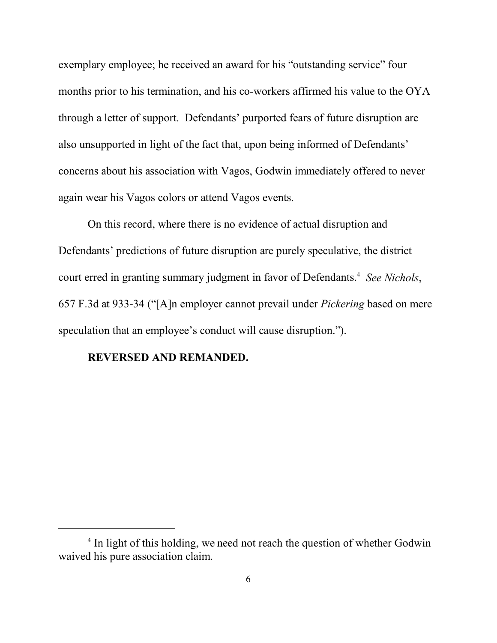exemplary employee; he received an award for his "outstanding service" four months prior to his termination, and his co-workers affirmed his value to the OYA through a letter of support. Defendants' purported fears of future disruption are also unsupported in light of the fact that, upon being informed of Defendants' concerns about his association with Vagos, Godwin immediately offered to never again wear his Vagos colors or attend Vagos events.

On this record, where there is no evidence of actual disruption and Defendants' predictions of future disruption are purely speculative, the district court erred in granting summary judgment in favor of Defendants.<sup>4</sup> See Nichols, 657 F.3d at 933-34 ("[A]n employer cannot prevail under *Pickering* based on mere speculation that an employee's conduct will cause disruption.").

#### **REVERSED AND REMANDED.**

<sup>&</sup>lt;sup>4</sup> In light of this holding, we need not reach the question of whether Godwin waived his pure association claim.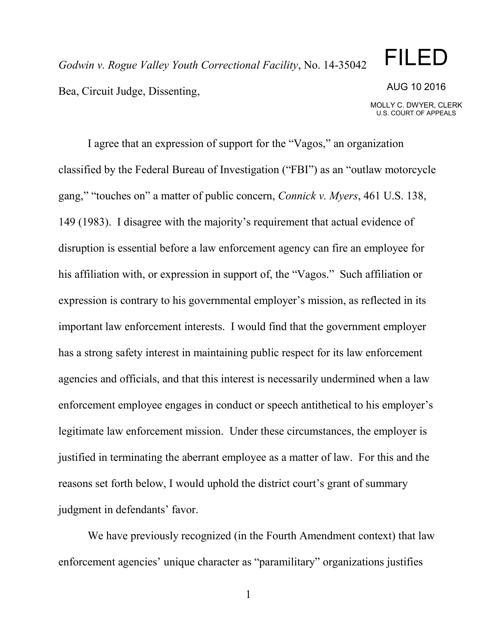*Godwin v. Rogue Valley Youth Correctional Facility*, No. 14-35042 Bea, Circuit Judge, Dissenting,

## FILED

#### AUG 10 2016

MOLLY C. DWYER, CLERK U.S. COURT OF APPEALS

I agree that an expression of support for the "Vagos," an organization classified by the Federal Bureau of Investigation ("FBI") as an "outlaw motorcycle gang," "touches on" a matter of public concern, *Connick v. Myers*, 461 U.S. 138, 149 (1983). I disagree with the majority's requirement that actual evidence of disruption is essential before a law enforcement agency can fire an employee for his affiliation with, or expression in support of, the "Vagos." Such affiliation or expression is contrary to his governmental employer's mission, as reflected in its important law enforcement interests. I would find that the government employer has a strong safety interest in maintaining public respect for its law enforcement agencies and officials, and that this interest is necessarily undermined when a law enforcement employee engages in conduct or speech antithetical to his employer's legitimate law enforcement mission. Under these circumstances, the employer is justified in terminating the aberrant employee as a matter of law. For this and the reasons set forth below, I would uphold the district court's grant of summary judgment in defendants' favor.

We have previously recognized (in the Fourth Amendment context) that law enforcement agencies' unique character as "paramilitary" organizations justifies

1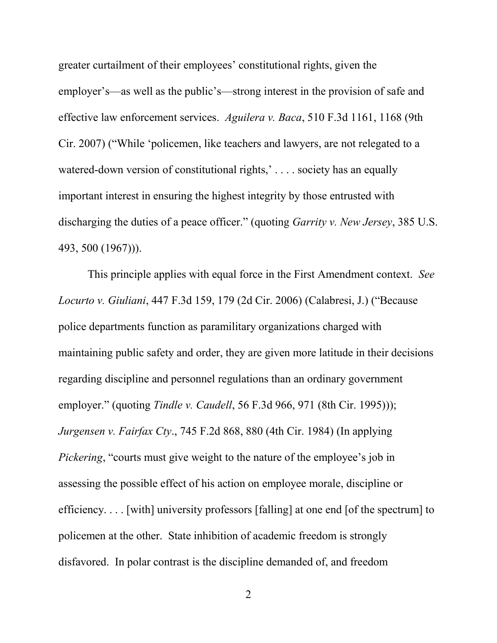greater curtailment of their employees' constitutional rights, given the employer's—as well as the public's—strong interest in the provision of safe and effective law enforcement services. *Aguilera v. Baca*, 510 F.3d 1161, 1168 (9th Cir. 2007) ("While 'policemen, like teachers and lawyers, are not relegated to a watered-down version of constitutional rights,'.... society has an equally important interest in ensuring the highest integrity by those entrusted with discharging the duties of a peace officer." (quoting *Garrity v. New Jersey*, 385 U.S. 493, 500 (1967))).

This principle applies with equal force in the First Amendment context. *See Locurto v. Giuliani*, 447 F.3d 159, 179 (2d Cir. 2006) (Calabresi, J.) ("Because police departments function as paramilitary organizations charged with maintaining public safety and order, they are given more latitude in their decisions regarding discipline and personnel regulations than an ordinary government employer." (quoting *Tindle v. Caudell*, 56 F.3d 966, 971 (8th Cir. 1995))); *Jurgensen v. Fairfax Cty*., 745 F.2d 868, 880 (4th Cir. 1984) (In applying *Pickering*, "courts must give weight to the nature of the employee's job in assessing the possible effect of his action on employee morale, discipline or efficiency. . . . [with] university professors [falling] at one end [of the spectrum] to policemen at the other. State inhibition of academic freedom is strongly disfavored. In polar contrast is the discipline demanded of, and freedom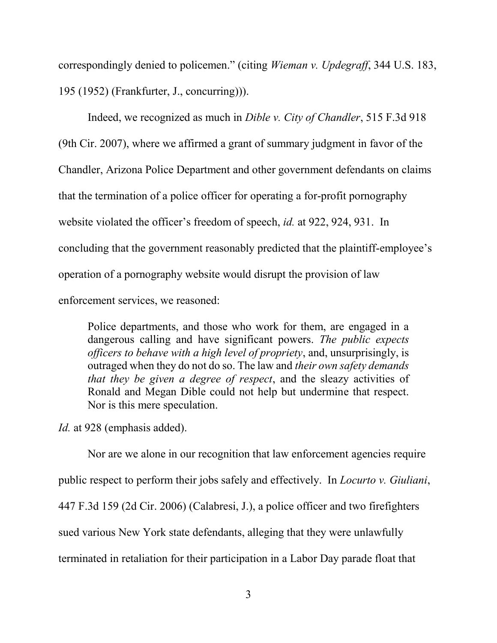correspondingly denied to policemen." (citing *Wieman v. Updegraff*, 344 U.S. 183, 195 (1952) (Frankfurter, J., concurring))).

Indeed, we recognized as much in *Dible v. City of Chandler*, 515 F.3d 918 (9th Cir. 2007), where we affirmed a grant of summary judgment in favor of the Chandler, Arizona Police Department and other government defendants on claims that the termination of a police officer for operating a for-profit pornography website violated the officer's freedom of speech, *id.* at 922, 924, 931. In concluding that the government reasonably predicted that the plaintiff-employee's operation of a pornography website would disrupt the provision of law enforcement services, we reasoned:

Police departments, and those who work for them, are engaged in a dangerous calling and have significant powers. *The public expects officers to behave with a high level of propriety*, and, unsurprisingly, is outraged when they do not do so. The law and *their own safety demands that they be given a degree of respect*, and the sleazy activities of Ronald and Megan Dible could not help but undermine that respect. Nor is this mere speculation.

*Id.* at 928 (emphasis added).

Nor are we alone in our recognition that law enforcement agencies require public respect to perform their jobs safely and effectively. In *Locurto v. Giuliani*, 447 F.3d 159 (2d Cir. 2006) (Calabresi, J.), a police officer and two firefighters sued various New York state defendants, alleging that they were unlawfully terminated in retaliation for their participation in a Labor Day parade float that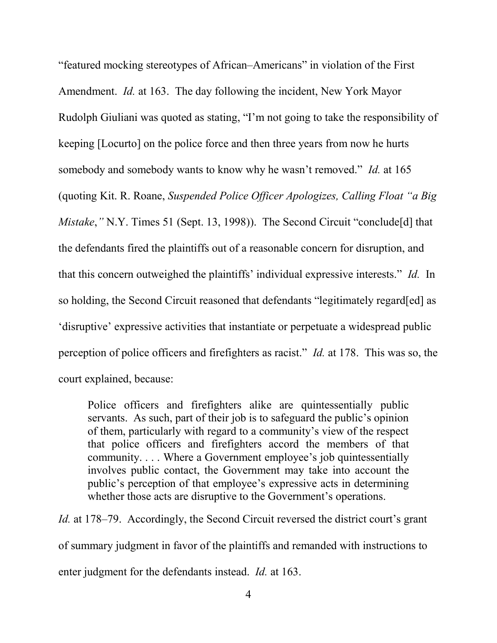"featured mocking stereotypes of African–Americans" in violation of the First Amendment. *Id.* at 163. The day following the incident, New York Mayor Rudolph Giuliani was quoted as stating, "I'm not going to take the responsibility of keeping [Locurto] on the police force and then three years from now he hurts somebody and somebody wants to know why he wasn't removed." *Id.* at 165 (quoting Kit. R. Roane, *Suspended Police Officer Apologizes, Calling Float "a Big Mistake*, "N.Y. Times 51 (Sept. 13, 1998)). The Second Circuit "conclude[d] that the defendants fired the plaintiffs out of a reasonable concern for disruption, and that this concern outweighed the plaintiffs' individual expressive interests." *Id.* In so holding, the Second Circuit reasoned that defendants "legitimately regard[ed] as 'disruptive' expressive activities that instantiate or perpetuate a widespread public perception of police officers and firefighters as racist." *Id.* at 178. This was so, the court explained, because:

Police officers and firefighters alike are quintessentially public servants. As such, part of their job is to safeguard the public's opinion of them, particularly with regard to a community's view of the respect that police officers and firefighters accord the members of that community. . . . Where a Government employee's job quintessentially involves public contact, the Government may take into account the public's perception of that employee's expressive acts in determining whether those acts are disruptive to the Government's operations.

*Id.* at 178–79. Accordingly, the Second Circuit reversed the district court's grant of summary judgment in favor of the plaintiffs and remanded with instructions to enter judgment for the defendants instead. *Id.* at 163.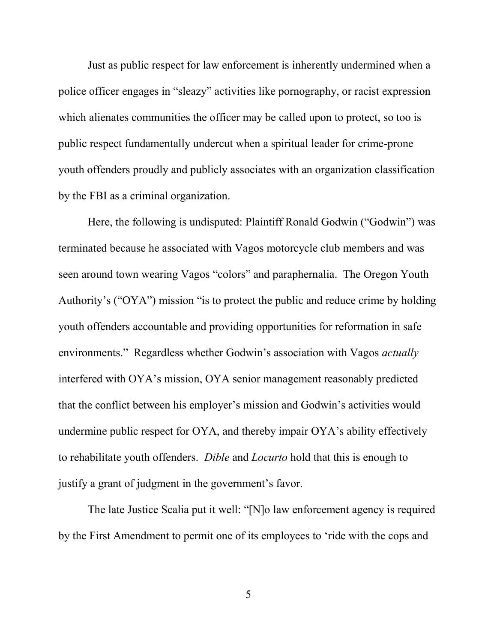Just as public respect for law enforcement is inherently undermined when a police officer engages in "sleazy" activities like pornography, or racist expression which alienates communities the officer may be called upon to protect, so too is public respect fundamentally undercut when a spiritual leader for crime-prone youth offenders proudly and publicly associates with an organization classification by the FBI as a criminal organization.

Here, the following is undisputed: Plaintiff Ronald Godwin ("Godwin") was terminated because he associated with Vagos motorcycle club members and was seen around town wearing Vagos "colors" and paraphernalia. The Oregon Youth Authority's ("OYA") mission "is to protect the public and reduce crime by holding youth offenders accountable and providing opportunities for reformation in safe environments." Regardless whether Godwin's association with Vagos *actually* interfered with OYA's mission, OYA senior management reasonably predicted that the conflict between his employer's mission and Godwin's activities would undermine public respect for OYA, and thereby impair OYA's ability effectively to rehabilitate youth offenders. *Dible* and *Locurto* hold that this is enough to justify a grant of judgment in the government's favor.

The late Justice Scalia put it well: "[N]o law enforcement agency is required by the First Amendment to permit one of its employees to 'ride with the cops and

5